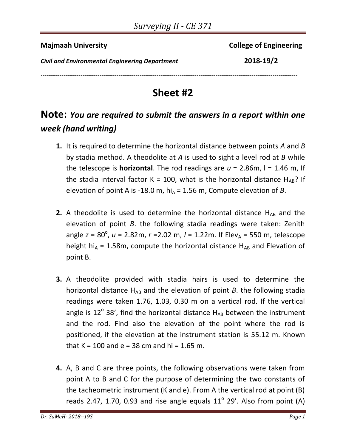**Majmaah University** College of Engineering

*Civil and Environmental Engineering Department* **2018-19/2**

---------------------------------------------------------------------------------------------------------------------------------------

## **Sheet #2**

## **Note:** *You are required to submit the answers in a report within one week (hand writing)*

- **1.** It is required to determine the horizontal distance between points *A* and *B* by stadia method. A theodolite at *A* is used to sight a level rod at *B* while the telescope is **horizontal**. The rod readings are  $u = 2.86$ m,  $l = 1.46$  m, If the stadia interval factor K = 100, what is the horizontal distance  $H_{AB}$ ? If elevation of point A is -18.0 m, hi<sub>A</sub> = 1.56 m, Compute elevation of *B*.
- **2.** A theodolite is used to determine the horizontal distance  $H_{AB}$  and the elevation of point *B*. the following stadia readings were taken: Zenith angle *z* = 80<sup>°</sup>, *u* = 2.82m, *r* = 2.02 m, *l* = 1.22m. If Elev<sub>A</sub> = 550 m, telescope height hi<sub>A</sub> = 1.58m, compute the horizontal distance H<sub>AB</sub> and Elevation of point B.
- **3.** A theodolite provided with stadia hairs is used to determine the horizontal distance  $H_{AB}$  and the elevation of point *B*. the following stadia readings were taken 1.76, 1.03, 0.30 m on a vertical rod. If the vertical angle is  $12^{\circ}$  38', find the horizontal distance  $H_{AB}$  between the instrument and the rod. Find also the elevation of the point where the rod is positioned, if the elevation at the instrument station is 55.12 m. Known that K = 100 and e = 38 cm and hi = 1.65 m.
- **4.** A, B and C are three points, the following observations were taken from point A to B and C for the purpose of determining the two constants of the tacheometric instrument (K and e). From A the vertical rod at point (B) reads 2.47, 1.70, 0.93 and rise angle equals  $11^{\circ}$  29'. Also from point (A)